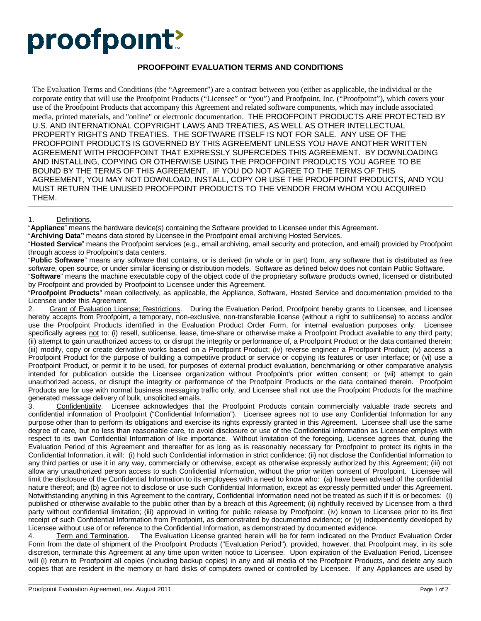## proofpoint?

## **PROOFPOINT EVALUATION TERMS AND CONDITIONS**

The Evaluation Terms and Conditions (the "Agreement") are a contract between you (either as applicable, the individual or the corporate entity that will use the Proofpoint Products ("Licensee" or "you") and Proofpoint, Inc. ("Proofpoint"), which covers your use of the Proofpoint Products that accompany this Agreement and related software components, which may include associated media, printed materials, and "online" or electronic documentation. THE PROOFPOINT PRODUCTS ARE PROTECTED BY U.S. AND INTERNATIONAL COPYRIGHT LAWS AND TREATIES, AS WELL AS OTHER INTELLECTUAL PROPERTY RIGHTS AND TREATIES. THE SOFTWARE ITSELF IS NOT FOR SALE. ANY USE OF THE PROOFPOINT PRODUCTS IS GOVERNED BY THIS AGREEMENT UNLESS YOU HAVE ANOTHER WRITTEN AGREEMENT WITH PROOFPOINT THAT EXPRESSLY SUPERCEDES THIS AGREEMENT. BY DOWNLOADING AND INSTALLING, COPYING OR OTHERWISE USING THE PROOFPOINT PRODUCTS YOU AGREE TO BE BOUND BY THE TERMS OF THIS AGREEMENT. IF YOU DO NOT AGREE TO THE TERMS OF THIS AGREEMENT, YOU MAY NOT DOWNLOAD, INSTALL, COPY OR USE THE PROOFPOINT PRODUCTS, AND YOU MUST RETURN THE UNUSED PROOFPOINT PRODUCTS TO THE VENDOR FROM WHOM YOU ACQUIRED THEM.

## 1. Definitions.

"**Appliance**" means the hardware device(s) containing the Software provided to Licensee under this Agreement.

"**Archiving Data"** means data stored by Licensee in the Proofpoint email archiving Hosted Services.

"**Hosted Service**" means the Proofpoint services (e.g., email archiving, email security and protection, and email) provided by Proofpoint through access to Proofpoint's data centers.

"**Public Software**" means any software that contains, or is derived (in whole or in part) from, any software that is distributed as free software, open source, or under similar licensing or distribution models. Software as defined below does not contain Public Software. "**Software**" means the machine executable copy of the object code of the proprietary software products owned, licensed or distributed by Proofpoint and provided by Proofpoint to Licensee under this Agreement.

"**Proofpoint Products**" mean collectively, as applicable, the Appliance, Software, Hosted Service and documentation provided to the Licensee under this Agreement.

2. Grant of Evaluation License; Restrictions. During the Evaluation Period, Proofpoint hereby grants to Licensee, and Licensee hereby accepts from Proofpoint, a temporary, non-exclusive, non-transferable license (without a right to sublicense) to access and/or use the Proofpoint Products identified in the Evaluation Product Order Form, for internal evaluation purposes only. Licensee specifically agrees not to: (i) resell, sublicense, lease, time-share or otherwise make a Proofpoint Product available to any third party; (ii) attempt to gain unauthorized access to, or disrupt the integrity or performance of, a Proofpoint Product or the data contained therein; (iii) modify, copy or create derivative works based on a Proofpoint Product; (iv) reverse engineer a Proofpoint Product; (v) access a Proofpoint Product for the purpose of building a competitive product or service or copying its features or user interface; or (vi) use a Proofpoint Product, or permit it to be used, for purposes of external product evaluation, benchmarking or other comparative analysis intended for publication outside the Licensee organization without Proofpoint's prior written consent; or (vii) attempt to gain unauthorized access, or disrupt the integrity or performance of the Proofpoint Products or the data contained therein. Proofpoint Products are for use with normal business messaging traffic only, and Licensee shall not use the Proofpoint Products for the machine generated message delivery of bulk, unsolicited emails.

3. Confidentiality. Licensee acknowledges that the Proofpoint Products contain commercially valuable trade secrets and confidential information of Proofpoint ("Confidential Information"). Licensee agrees not to use any Confidential Information for any purpose other than to perform its obligations and exercise its rights expressly granted in this Agreement. Licensee shall use the same degree of care, but no less than reasonable care, to avoid disclosure or use of the Confidential information as Licensee employs with respect to its own Confidential Information of like importance. Without limitation of the foregoing, Licensee agrees that, during the Evaluation Period of this Agreement and thereafter for as long as is reasonably necessary for Proofpoint to protect its rights in the Confidential Information, it will: (i) hold such Confidential information in strict confidence; (ii) not disclose the Confidential Information to any third parties or use it in any way, commercially or otherwise, except as otherwise expressly authorized by this Agreement; (iii) not allow any unauthorized person access to such Confidential Information, without the prior written consent of Proofpoint. Licensee will limit the disclosure of the Confidential Information to its employees with a need to know who: (a) have been advised of the confidential nature thereof; and (b) agree not to disclose or use such Confidential Information, except as expressly permitted under this Agreement. Notwithstanding anything in this Agreement to the contrary, Confidential Information need not be treated as such if it is or becomes: (i) published or otherwise available to the public other than by a breach of this Agreement; (ii) rightfully received by Licensee from a third party without confidential limitation; (iii) approved in writing for public release by Proofpoint; (iv) known to Licensee prior to its first receipt of such Confidential Information from Proofpoint, as demonstrated by documented evidence; or (v) independently developed by Licensee without use of or reference to the Confidential Information, as demonstrated by documented evidence.<br>4. Term and Termination. The Evaluation License granted herein will be for term indicated on the Pr

4. Term and Termination. The Evaluation License granted herein will be for term indicated on the Product Evaluation Order Form from the date of shipment of the Proofpoint Products ("Evaluation Period"), provided, however, that Proofpoint may, in its sole discretion, terminate this Agreement at any time upon written notice to Licensee. Upon expiration of the Evaluation Period, Licensee will (i) return to Proofpoint all copies (including backup copies) in any and all media of the Proofpoint Products, and delete any such copies that are resident in the memory or hard disks of computers owned or controlled by Licensee. If any Appliances are used by